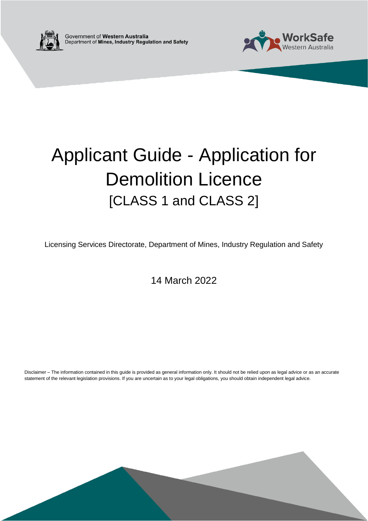



# Applicant Guide - Application for Demolition Licence [CLASS 1 and CLASS 2]

Licensing Services Directorate, Department of Mines, Industry Regulation and Safety

14 March 2022

Disclaimer – The information contained in this guide is provided as general information only. It should not be relied upon as legal advice or as an accurate statement of the relevant legislation provisions. If you are uncertain as to your legal obligations, you should obtain independent legal advice.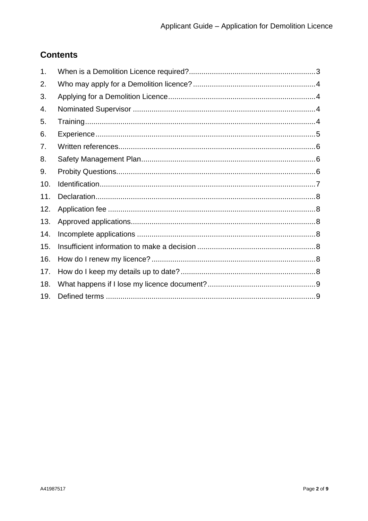## **Contents**

| 1.  |  |
|-----|--|
| 2.  |  |
| 3.  |  |
| 4.  |  |
| 5.  |  |
| 6.  |  |
| 7.  |  |
| 8.  |  |
| 9.  |  |
| 10. |  |
| 11. |  |
| 12. |  |
| 13. |  |
| 14. |  |
| 15. |  |
| 16. |  |
| 17. |  |
| 18. |  |
| 19. |  |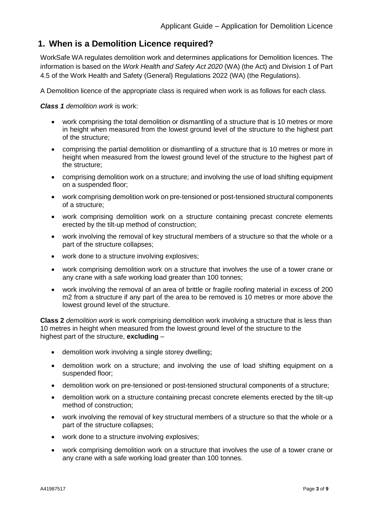### <span id="page-2-0"></span>**1. When is a Demolition Licence required?**

WorkSafe WA regulates demolition work and determines applications for Demolition licences. The information is based on the *Work Health and Safety Act 2020* (WA) (the Act) and Division 1 of Part 4.5 of the Work Health and Safety (General) Regulations 2022 (WA) (the Regulations).

A Demolition licence of the appropriate class is required when work is as follows for each class.

*Class 1 demolition work* is work:

- work comprising the total demolition or dismantling of a structure that is 10 metres or more in height when measured from the lowest ground level of the structure to the highest part of the structure;
- comprising the partial demolition or dismantling of a structure that is 10 metres or more in height when measured from the lowest ground level of the structure to the highest part of the structure;
- comprising demolition work on a structure; and involving the use of load shifting equipment on a suspended floor;
- work comprising demolition work on pre-tensioned or post-tensioned structural components of a structure;
- work comprising demolition work on a structure containing precast concrete elements erected by the tilt-up method of construction;
- work involving the removal of key structural members of a structure so that the whole or a part of the structure collapses;
- work done to a structure involving explosives;
- work comprising demolition work on a structure that involves the use of a tower crane or any crane with a safe working load greater than 100 tonnes;
- work involving the removal of an area of brittle or fragile roofing material in excess of 200 m2 from a structure if any part of the area to be removed is 10 metres or more above the lowest ground level of the structure.

**Class 2** *demolition work* is work comprising demolition work involving a structure that is less than 10 metres in height when measured from the lowest ground level of the structure to the highest part of the structure, **excluding** –

- demolition work involving a single storey dwelling;
- demolition work on a structure; and involving the use of load shifting equipment on a suspended floor;
- demolition work on pre-tensioned or post-tensioned structural components of a structure;
- demolition work on a structure containing precast concrete elements erected by the tilt-up method of construction;
- work involving the removal of key structural members of a structure so that the whole or a part of the structure collapses;
- work done to a structure involving explosives;
- work comprising demolition work on a structure that involves the use of a tower crane or any crane with a safe working load greater than 100 tonnes.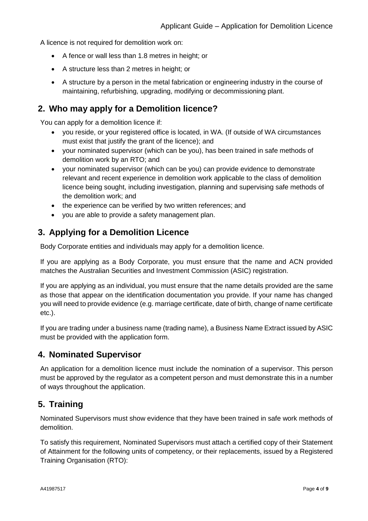A licence is not required for demolition work on:

- A fence or wall less than 1.8 metres in height; or
- A structure less than 2 metres in height; or
- A structure by a person in the metal fabrication or engineering industry in the course of maintaining, refurbishing, upgrading, modifying or decommissioning plant.

#### <span id="page-3-0"></span>**2. Who may apply for a Demolition licence?**

You can apply for a demolition licence if:

- you reside, or your registered office is located, in WA. (If outside of WA circumstances must exist that justify the grant of the licence); and
- your nominated supervisor (which can be you), has been trained in safe methods of demolition work by an RTO; and
- your nominated supervisor (which can be you) can provide evidence to demonstrate relevant and recent experience in demolition work applicable to the class of demolition licence being sought, including investigation, planning and supervising safe methods of the demolition work; and
- the experience can be verified by two written references; and
- you are able to provide a safety management plan.

#### <span id="page-3-1"></span>**3. Applying for a Demolition Licence**

Body Corporate entities and individuals may apply for a demolition licence.

If you are applying as a Body Corporate, you must ensure that the name and ACN provided matches the Australian Securities and Investment Commission (ASIC) registration.

If you are applying as an individual, you must ensure that the name details provided are the same as those that appear on the identification documentation you provide. If your name has changed you will need to provide evidence (e.g. marriage certificate, date of birth, change of name certificate etc.).

If you are trading under a business name (trading name), a Business Name Extract issued by ASIC must be provided with the application form.

#### <span id="page-3-2"></span>**4. Nominated Supervisor**

An application for a demolition licence must include the nomination of a supervisor. This person must be approved by the regulator as a competent person and must demonstrate this in a number of ways throughout the application.

#### <span id="page-3-3"></span>**5. Training**

Nominated Supervisors must show evidence that they have been trained in safe work methods of demolition.

To satisfy this requirement, Nominated Supervisors must attach a certified copy of their Statement of Attainment for the following units of competency, or their replacements, issued by a Registered Training Organisation (RTO):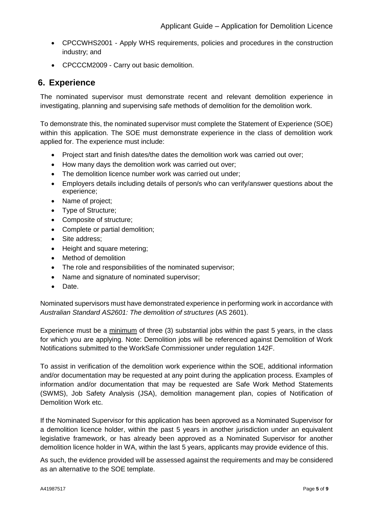- CPCCWHS2001 Apply WHS requirements, policies and procedures in the construction industry; and
- CPCCCM2009 Carry out basic demolition.

#### <span id="page-4-0"></span>**6. Experience**

The nominated supervisor must demonstrate recent and relevant demolition experience in investigating, planning and supervising safe methods of demolition for the demolition work.

To demonstrate this, the nominated supervisor must complete the Statement of Experience (SOE) within this application. The SOE must demonstrate experience in the class of demolition work applied for. The experience must include:

- Project start and finish dates/the dates the demolition work was carried out over;
- How many days the demolition work was carried out over;
- The demolition licence number work was carried out under;
- Employers details including details of person/s who can verify/answer questions about the experience;
- Name of project;
- Type of Structure;
- Composite of structure;
- Complete or partial demolition;
- Site address;
- Height and square metering;
- Method of demolition
- The role and responsibilities of the nominated supervisor;
- Name and signature of nominated supervisor;
- Date.

Nominated supervisors must have demonstrated experience in performing work in accordance with *Australian Standard AS2601: The demolition of structures* (AS 2601).

Experience must be a minimum of three (3) substantial jobs within the past 5 years, in the class for which you are applying. Note: Demolition jobs will be referenced against Demolition of Work Notifications submitted to the WorkSafe Commissioner under regulation 142F.

To assist in verification of the demolition work experience within the SOE, additional information and/or documentation may be requested at any point during the application process. Examples of information and/or documentation that may be requested are Safe Work Method Statements (SWMS), Job Safety Analysis (JSA), demolition management plan, copies of Notification of Demolition Work etc.

If the Nominated Supervisor for this application has been approved as a Nominated Supervisor for a demolition licence holder, within the past 5 years in another jurisdiction under an equivalent legislative framework, or has already been approved as a Nominated Supervisor for another demolition licence holder in WA, within the last 5 years, applicants may provide evidence of this.

As such, the evidence provided will be assessed against the requirements and may be considered as an alternative to the SOE template.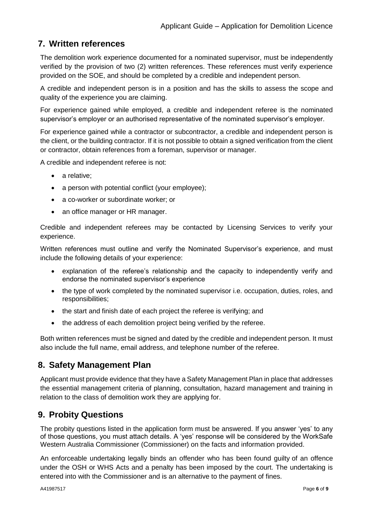## <span id="page-5-0"></span>**7. Written references**

The demolition work experience documented for a nominated supervisor, must be independently verified by the provision of two (2) written references. These references must verify experience provided on the SOE, and should be completed by a credible and independent person.

A credible and independent person is in a position and has the skills to assess the scope and quality of the experience you are claiming.

For experience gained while employed, a credible and independent referee is the nominated supervisor's employer or an authorised representative of the nominated supervisor's employer.

For experience gained while a contractor or subcontractor, a credible and independent person is the client, or the building contractor. If it is not possible to obtain a signed verification from the client or contractor, obtain references from a foreman, supervisor or manager.

A credible and independent referee is not:

- a relative:
- a person with potential conflict (your employee);
- a co-worker or subordinate worker; or
- an office manager or HR manager.

Credible and independent referees may be contacted by Licensing Services to verify your experience.

Written references must outline and verify the Nominated Supervisor's experience, and must include the following details of your experience:

- explanation of the referee's relationship and the capacity to independently verify and endorse the nominated supervisor's experience
- the type of work completed by the nominated supervisor i.e. occupation, duties, roles, and responsibilities;
- the start and finish date of each project the referee is verifying; and
- the address of each demolition project being verified by the referee.

Both written references must be signed and dated by the credible and independent person. It must also include the full name, email address, and telephone number of the referee.

#### <span id="page-5-1"></span>**8. Safety Management Plan**

Applicant must provide evidence that they have a Safety Management Plan in place that addresses the essential management criteria of planning, consultation, hazard management and training in relation to the class of demolition work they are applying for.

### <span id="page-5-2"></span>**9. Probity Questions**

The probity questions listed in the application form must be answered. If you answer 'yes' to any of those questions, you must attach details. A 'yes' response will be considered by the WorkSafe Western Australia Commissioner (Commissioner) on the facts and information provided.

An enforceable undertaking legally binds an offender who has been found guilty of an offence under the OSH or WHS Acts and a penalty has been imposed by the court. The undertaking is entered into with the Commissioner and is an alternative to the payment of fines.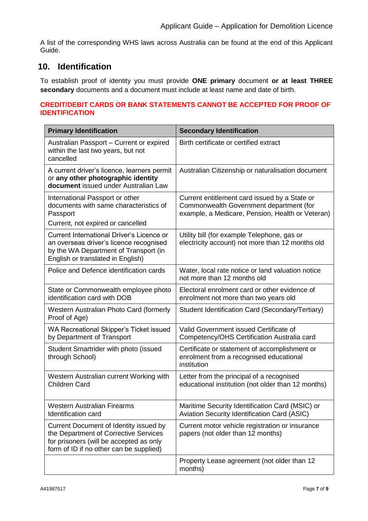A list of the corresponding WHS laws across Australia can be found at the end of this Applicant Guide.

## <span id="page-6-0"></span>**10. Identification**

To establish proof of identity you must provide **ONE primary** document **or at least THREE secondary** documents and a document must include at least name and date of birth.

#### **CREDIT/DEBIT CARDS OR BANK STATEMENTS CANNOT BE ACCEPTED FOR PROOF OF IDENTIFICATION**

| <b>Primary Identification</b>                                                                                                                                             | <b>Secondary Identification</b>                                                                                                              |
|---------------------------------------------------------------------------------------------------------------------------------------------------------------------------|----------------------------------------------------------------------------------------------------------------------------------------------|
| Australian Passport - Current or expired<br>within the last two years, but not<br>cancelled                                                                               | Birth certificate or certified extract                                                                                                       |
| A current driver's licence, learners permit<br>or any other photographic identity<br>document issued under Australian Law                                                 | Australian Citizenship or naturalisation document                                                                                            |
| International Passport or other<br>documents with same characteristics of<br>Passport<br>Current, not expired or cancelled                                                | Current entitlement card issued by a State or<br>Commonwealth Government department (for<br>example, a Medicare, Pension, Health or Veteran) |
| <b>Current International Driver's Licence or</b><br>an overseas driver's licence recognised<br>by the WA Department of Transport (in<br>English or translated in English) | Utility bill (for example Telephone, gas or<br>electricity account) not more than 12 months old                                              |
| Police and Defence identification cards                                                                                                                                   | Water, local rate notice or land valuation notice<br>not more than 12 months old                                                             |
| State or Commonwealth employee photo<br>identification card with DOB                                                                                                      | Electoral enrolment card or other evidence of<br>enrolment not more than two years old                                                       |
| Western Australian Photo Card (formerly<br>Proof of Age)                                                                                                                  | Student Identification Card (Secondary/Tertiary)                                                                                             |
| WA Recreational Skipper's Ticket issued<br>by Department of Transport                                                                                                     | Valid Government issued Certificate of<br>Competency/OHS Certification Australia card                                                        |
| Student Smartrider with photo (issued<br>through School)                                                                                                                  | Certificate or statement of accomplishment or<br>enrolment from a recognised educational<br>institution                                      |
| Western Australian current Working with<br><b>Children Card</b>                                                                                                           | Letter from the principal of a recognised<br>educational institution (not older than 12 months)                                              |
| <b>Western Australian Firearms</b><br>Identification card                                                                                                                 | Maritime Security Identification Card (MSIC) or<br>Aviation Security Identification Card (ASIC)                                              |
| Current Document of Identity issued by<br>the Department of Corrective Services<br>for prisoners (will be accepted as only<br>form of ID if no other can be supplied)     | Current motor vehicle registration or insurance<br>papers (not older than 12 months)                                                         |
|                                                                                                                                                                           | Property Lease agreement (not older than 12<br>months)                                                                                       |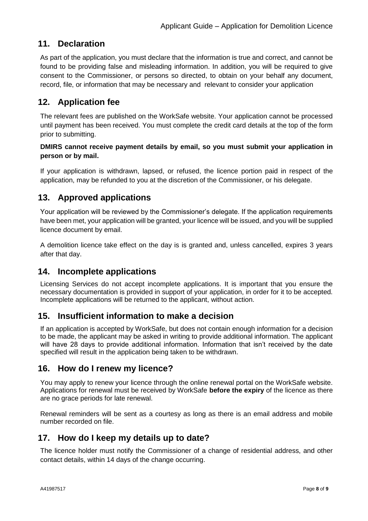#### <span id="page-7-0"></span>**11. Declaration**

As part of the application, you must declare that the information is true and correct, and cannot be found to be providing false and misleading information. In addition, you will be required to give consent to the Commissioner, or persons so directed, to obtain on your behalf any document, record, file, or information that may be necessary and relevant to consider your application

#### <span id="page-7-1"></span>**12. Application fee**

The relevant fees are published on the WorkSafe website. Your application cannot be processed until payment has been received. You must complete the credit card details at the top of the form prior to submitting.

#### **DMIRS cannot receive payment details by email, so you must submit your application in person or by mail.**

If your application is withdrawn, lapsed, or refused, the licence portion paid in respect of the application, may be refunded to you at the discretion of the Commissioner, or his delegate.

#### <span id="page-7-2"></span>**13. Approved applications**

Your application will be reviewed by the Commissioner's delegate. If the application requirements have been met, your application will be granted, your licence will be issued, and you will be supplied licence document by email.

A demolition licence take effect on the day is is granted and, unless cancelled, expires 3 years after that day.

#### <span id="page-7-3"></span>**14. Incomplete applications**

Licensing Services do not accept incomplete applications. It is important that you ensure the necessary documentation is provided in support of your application, in order for it to be accepted. Incomplete applications will be returned to the applicant, without action.

#### <span id="page-7-4"></span>**15. Insufficient information to make a decision**

If an application is accepted by WorkSafe, but does not contain enough information for a decision to be made, the applicant may be asked in writing to provide additional information. The applicant will have 28 days to provide additional information. Information that isn't received by the date specified will result in the application being taken to be withdrawn.

#### <span id="page-7-5"></span>**16. How do I renew my licence?**

You may apply to renew your licence through the online renewal portal on the WorkSafe website. Applications for renewal must be received by WorkSafe **before the expiry** of the licence as there are no grace periods for late renewal.

Renewal reminders will be sent as a courtesy as long as there is an email address and mobile number recorded on file.

#### <span id="page-7-6"></span>**17. How do I keep my details up to date?**

The licence holder must notify the Commissioner of a change of residential address, and other contact details, within 14 days of the change occurring.